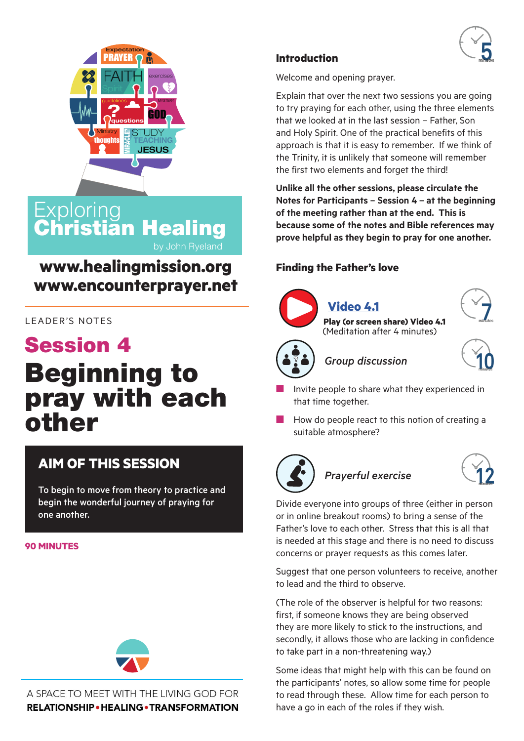

### **Exploring** Christian Healing by John Ryeland

## **www.healingmission.org www.encounterprayer.net**

### LEADER'S NOTES

# Session 4 Beginning to pray with each other

### **AIM OF THIS SESSION**

To begin to move from theory to practice and begin the wonderful journey of praying for one another.

#### **90 MINUTES**



A SPACE TO MEET WITH THE LIVING GOD FOR **RELATIONSHIP • HEALING • TRANSFORMATION** 

### **Introduction**

Welcome and opening prayer.

Explain that over the next two sessions you are going to try praying for each other, using the three elements that we looked at in the last session – Father, Son and Holy Spirit. One of the practical benefits of this approach is that it is easy to remember. If we think of the Trinity, it is unlikely that someone will remember the first two elements and forget the third!

**Unlike all the other sessions, please circulate the Notes for Participants – Session 4 – at the beginning of the meeting rather than at the end. This is because some of the notes and Bible references may prove helpful as they begin to pray for one another.** 

### **Finding the Father's love**



# **[V](https://youtu.be/uWQTj_Q0PDw)[ideo 4.1](https://youtu.be/onhPBap9xfA)**

**Play (or screen share[\) Video 4.1](https://youtu.be/HNubLSn6AxY)**  [\(M](https://youtu.be/onhPBap9xfA)editation after 4 minutes)





### $Group$  discussion



- Invite people to share what they experienced in that time together.
- How do people react to this notion of creating a suitable atmosphere?



### **Prayerful exercise**



Divide everyone into groups of three (either in person or in online breakout rooms) to bring a sense of the Father's love to each other. Stress that this is all that is needed at this stage and there is no need to discuss concerns or prayer requests as this comes later.

Suggest that one person volunteers to receive, another to lead and the third to observe.

(The role of the observer is helpful for two reasons: first, if someone knows they are being observed they are more likely to stick to the instructions, and secondly, it allows those who are lacking in confidence to take part in a non-threatening way.)

Some ideas that might help with this can be found on the participants' notes, so allow some time for people to read through these. Allow time for each person to have a go in each of the roles if they wish.